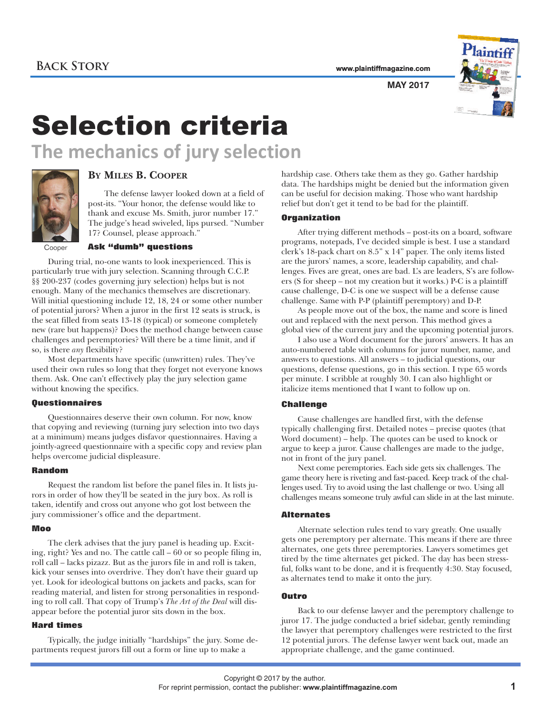**www.plaintiffmagazine.com**



**MAY 2017**

# Selection criteria **The mechanics of jury selection**



## **BY MILES B. COOPER**

The defense lawyer looked down at a field of post-its. "Your honor, the defense would like to thank and excuse Ms. Smith, juror number 17." The judge's head swiveled, lips pursed. "Number 17? Counsel, please approach."

**Cooper** 

#### **Ask "dumb" questions**

During trial, no-one wants to look inexperienced. This is particularly true with jury selection. Scanning through C.C.P. §§ 200-237 (codes governing jury selection) helps but is not enough. Many of the mechanics themselves are discretionary. Will initial questioning include 12, 18, 24 or some other number of potential jurors? When a juror in the first 12 seats is struck, is the seat filled from seats 13-18 (typical) or someone completely new (rare but happens)? Does the method change between cause challenges and peremptories? Will there be a time limit, and if so, is there *any* flexibility?

Most departments have specific (unwritten) rules. They've used their own rules so long that they forget not everyone knows them. Ask. One can't effectively play the jury selection game without knowing the specifics.

#### **Questionnaires**

Questionnaires deserve their own column. For now, know that copying and reviewing (turning jury selection into two days at a minimum) means judges disfavor questionnaires. Having a jointly-agreed questionnaire with a specific copy and review plan helps overcome judicial displeasure.

#### **Random**

Request the random list before the panel files in. It lists jurors in order of how they'll be seated in the jury box. As roll is taken, identify and cross out anyone who got lost between the jury commissioner's office and the department.

#### **Moo**

The clerk advises that the jury panel is heading up. Exciting, right? Yes and no. The cattle call – 60 or so people filing in, roll call – lacks pizazz. But as the jurors file in and roll is taken, kick your senses into overdrive. They don't have their guard up yet. Look for ideological buttons on jackets and packs, scan for reading material, and listen for strong personalities in responding to roll call. That copy of Trump's *The Art of the Deal* will disappear before the potential juror sits down in the box.

#### **Hard times**

Typically, the judge initially "hardships" the jury. Some departments request jurors fill out a form or line up to make a

hardship case. Others take them as they go. Gather hardship data. The hardships might be denied but the information given can be useful for decision making. Those who want hardship relief but don't get it tend to be bad for the plaintiff.

#### **Organization**

After trying different methods – post-its on a board, software programs, notepads, I've decided simple is best. I use a standard clerk's 18-pack chart on 8.5" x 14" paper. The only items listed are the jurors' names, a score, leadership capability, and challenges. Fives are great, ones are bad. L's are leaders, S's are followers (S for sheep – not my creation but it works.) P-C is a plaintiff cause challenge, D-C is one we suspect will be a defense cause challenge. Same with P-P (plaintiff peremptory) and D-P.

As people move out of the box, the name and score is lined out and replaced with the next person. This method gives a global view of the current jury and the upcoming potential jurors.

I also use a Word document for the jurors' answers. It has an auto-numbered table with columns for juror number, name, and answers to questions. All answers – to judicial questions, our questions, defense questions, go in this section. I type 65 words per minute. I scribble at roughly 30. I can also highlight or italicize items mentioned that I want to follow up on.

#### **Challenge**

Cause challenges are handled first, with the defense typically challenging first. Detailed notes – precise quotes (that Word document) – help. The quotes can be used to knock or argue to keep a juror. Cause challenges are made to the judge, not in front of the jury panel.

Next come peremptories. Each side gets six challenges. The game theory here is riveting and fast-paced. Keep track of the challenges used. Try to avoid using the last challenge or two. Using all challenges means someone truly awful can slide in at the last minute.

#### **Alternates**

Alternate selection rules tend to vary greatly. One usually gets one peremptory per alternate. This means if there are three alternates, one gets three peremptories. Lawyers sometimes get tired by the time alternates get picked. The day has been stressful, folks want to be done, and it is frequently 4:30. Stay focused, as alternates tend to make it onto the jury.

### **Outro**

Back to our defense lawyer and the peremptory challenge to juror 17. The judge conducted a brief sidebar, gently reminding the lawyer that peremptory challenges were restricted to the first 12 potential jurors. The defense lawyer went back out, made an appropriate challenge, and the game continued.